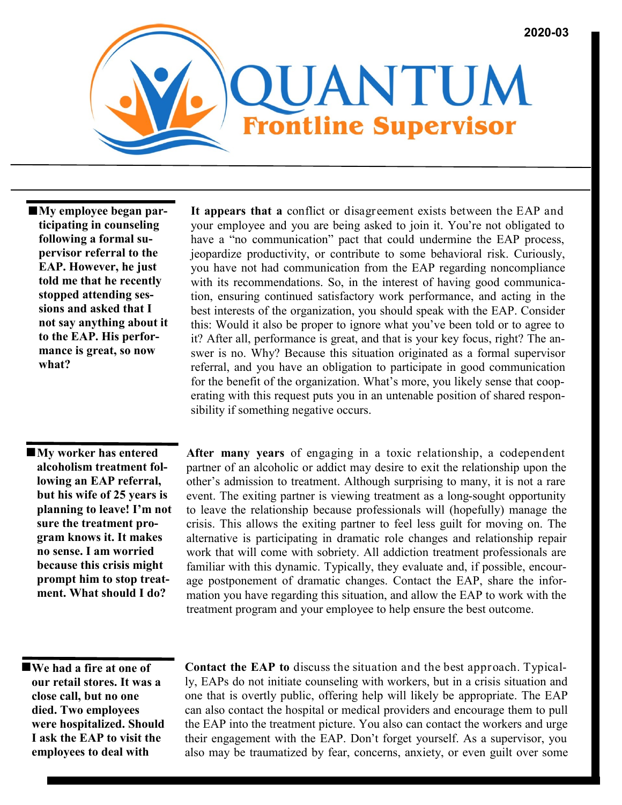

 **My employee began participating in counseling following a formal supervisor referral to the EAP. However, he just told me that he recently stopped attending sessions and asked that I not say anything about it to the EAP. His performance is great, so now what?**

 **My worker has entered alcoholism treatment following an EAP referral, but his wife of 25 years is planning to leave! I'm not sure the treatment program knows it. It makes no sense. I am worried because this crisis might prompt him to stop treatment. What should I do?**

**It appears that a** conflict or disagreement exists between the EAP and your employee and you are being asked to join it. You're not obligated to have a "no communication" pact that could undermine the EAP process, jeopardize productivity, or contribute to some behavioral risk. Curiously, you have not had communication from the EAP regarding noncompliance with its recommendations. So, in the interest of having good communication, ensuring continued satisfactory work performance, and acting in the best interests of the organization, you should speak with the EAP. Consider this: Would it also be proper to ignore what you've been told or to agree to it? After all, performance is great, and that is your key focus, right? The answer is no. Why? Because this situation originated as a formal supervisor referral, and you have an obligation to participate in good communication for the benefit of the organization. What's more, you likely sense that cooperating with this request puts you in an untenable position of shared responsibility if something negative occurs.

**After many years** of engaging in a toxic relationship, a codependent partner of an alcoholic or addict may desire to exit the relationship upon the other's admission to treatment. Although surprising to many, it is not a rare event. The exiting partner is viewing treatment as a long-sought opportunity to leave the relationship because professionals will (hopefully) manage the crisis. This allows the exiting partner to feel less guilt for moving on. The alternative is participating in dramatic role changes and relationship repair work that will come with sobriety. All addiction treatment professionals are familiar with this dynamic. Typically, they evaluate and, if possible, encourage postponement of dramatic changes. Contact the EAP, share the information you have regarding this situation, and allow the EAP to work with the treatment program and your employee to help ensure the best outcome.

 **We had a fire at one of our retail stores. It was a close call, but no one died. Two employees were hospitalized. Should I ask the EAP to visit the employees to deal with** 

**Contact the EAP to** discuss the situation and the best approach. Typically, EAPs do not initiate counseling with workers, but in a crisis situation and one that is overtly public, offering help will likely be appropriate. The EAP can also contact the hospital or medical providers and encourage them to pull the EAP into the treatment picture. You also can contact the workers and urge their engagement with the EAP. Don't forget yourself. As a supervisor, you also may be traumatized by fear, concerns, anxiety, or even guilt over some